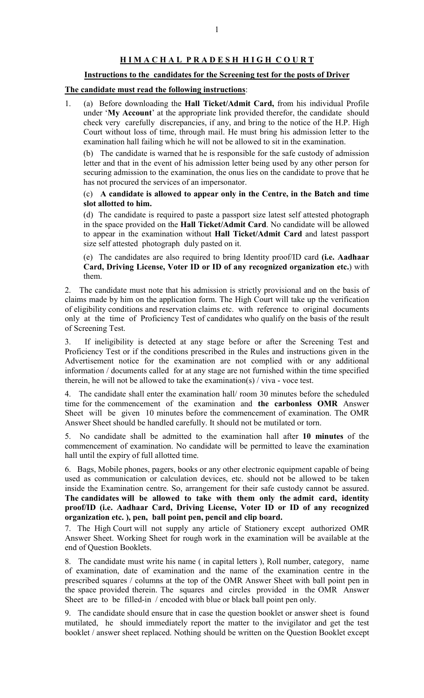## H I M A C H A L P R A D E S H H I G H C O U R T

## Instructions to the candidates for the Screening test for the posts of Driver

## The candidate must read the following instructions:

1. (a) Before downloading the Hall Ticket/Admit Card, from his individual Profile under 'My Account' at the appropriate link provided therefor, the candidate should check very carefully discrepancies, if any, and bring to the notice of the H.P. High Court without loss of time, through mail. He must bring his admission letter to the examination hall failing which he will not be allowed to sit in the examination.

(b) The candidate is warned that he is responsible for the safe custody of admission letter and that in the event of his admission letter being used by any other person for securing admission to the examination, the onus lies on the candidate to prove that he has not procured the services of an impersonator.

## (c) A candidate is allowed to appear only in the Centre, in the Batch and time slot allotted to him.

(d) The candidate is required to paste a passport size latest self attested photograph in the space provided on the Hall Ticket/Admit Card. No candidate will be allowed to appear in the examination without Hall Ticket/Admit Card and latest passport size self attested photograph duly pasted on it.

(e) The candidates are also required to bring Identity proof/ID card (i.e. Aadhaar Card, Driving License, Voter ID or ID of any recognized organization etc.) with them.

2. The candidate must note that his admission is strictly provisional and on the basis of claims made by him on the application form. The High Court will take up the verification of eligibility conditions and reservation claims etc. with reference to original documents only at the time of Proficiency Test of candidates who qualify on the basis of the result of Screening Test.

3. If ineligibility is detected at any stage before or after the Screening Test and Proficiency Test or if the conditions prescribed in the Rules and instructions given in the Advertisement notice for the examination are not complied with or any additional information / documents called for at any stage are not furnished within the time specified therein, he will not be allowed to take the examination(s)  $\frac{1}{1}$  viva - voce test.

4. The candidate shall enter the examination hall/ room 30 minutes before the scheduled time for the commencement of the examination and the carbonless OMR Answer Sheet will be given 10 minutes before the commencement of examination. The OMR Answer Sheet should be handled carefully. It should not be mutilated or torn.

5. No candidate shall be admitted to the examination hall after 10 minutes of the commencement of examination. No candidate will be permitted to leave the examination hall until the expiry of full allotted time.

6. Bags, Mobile phones, pagers, books or any other electronic equipment capable of being used as communication or calculation devices, etc. should not be allowed to be taken inside the Examination centre. So, arrangement for their safe custody cannot be assured. The candidates will be allowed to take with them only the admit card, identity proof/ID (i.e. Aadhaar Card, Driving License, Voter ID or ID of any recognized organization etc. ), pen, ball point pen, pencil and clip board.

7. The High Court will not supply any article of Stationery except authorized OMR Answer Sheet. Working Sheet for rough work in the examination will be available at the end of Question Booklets.

8. The candidate must write his name ( in capital letters ), Roll number, category, name of examination, date of examination and the name of the examination centre in the prescribed squares / columns at the top of the OMR Answer Sheet with ball point pen in the space provided therein. The squares and circles provided in the OMR Answer Sheet are to be filled-in / encoded with blue or black ball point pen only.

9. The candidate should ensure that in case the question booklet or answer sheet is found mutilated, he should immediately report the matter to the invigilator and get the test booklet / answer sheet replaced. Nothing should be written on the Question Booklet except